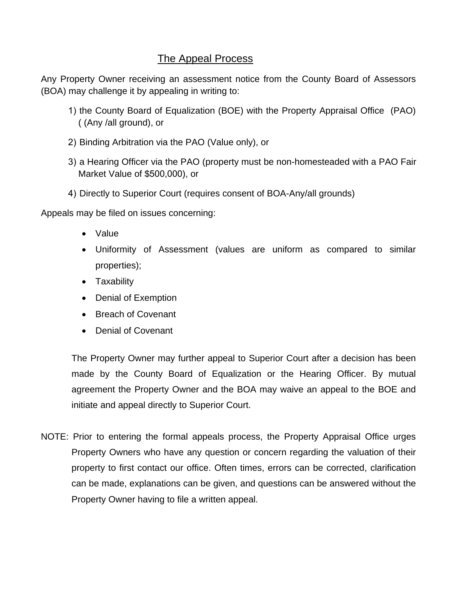# The Appeal Process

Any Property Owner receiving an assessment notice from the County Board of Assessors (BOA) may challenge it by appealing in writing to:

- 1) the County Board of Equalization (BOE) with the Property Appraisal Office (PAO) ( (Any /all ground), or
- 2) Binding Arbitration via the PAO (Value only), or
- 3) a Hearing Officer via the PAO (property must be non-homesteaded with a PAO Fair Market Value of \$500,000), or
- 4) Directly to Superior Court (requires consent of BOA-Any/all grounds)

Appeals may be filed on issues concerning:

- Value
- Uniformity of Assessment (values are uniform as compared to similar properties);
- Taxability
- Denial of Exemption
- Breach of Covenant
- Denial of Covenant

The Property Owner may further appeal to Superior Court after a decision has been made by the County Board of Equalization or the Hearing Officer. By mutual agreement the Property Owner and the BOA may waive an appeal to the BOE and initiate and appeal directly to Superior Court.

NOTE: Prior to entering the formal appeals process, the Property Appraisal Office urges Property Owners who have any question or concern regarding the valuation of their property to first contact our office. Often times, errors can be corrected, clarification can be made, explanations can be given, and questions can be answered without the Property Owner having to file a written appeal.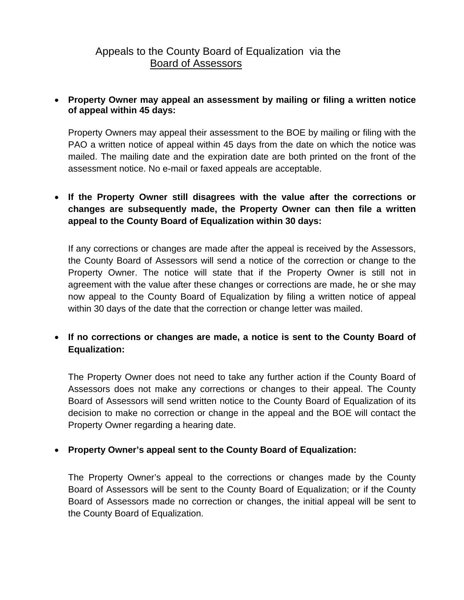# Appeals to the County Board of Equalization via the Board of Assessors

#### **Property Owner may appeal an assessment by mailing or filing a written notice of appeal within 45 days:**

Property Owners may appeal their assessment to the BOE by mailing or filing with the PAO a written notice of appeal within 45 days from the date on which the notice was mailed. The mailing date and the expiration date are both printed on the front of the assessment notice. No e-mail or faxed appeals are acceptable.

# **If the Property Owner still disagrees with the value after the corrections or changes are subsequently made, the Property Owner can then file a written appeal to the County Board of Equalization within 30 days:**

If any corrections or changes are made after the appeal is received by the Assessors, the County Board of Assessors will send a notice of the correction or change to the Property Owner. The notice will state that if the Property Owner is still not in agreement with the value after these changes or corrections are made, he or she may now appeal to the County Board of Equalization by filing a written notice of appeal within 30 days of the date that the correction or change letter was mailed.

# **If no corrections or changes are made, a notice is sent to the County Board of Equalization:**

The Property Owner does not need to take any further action if the County Board of Assessors does not make any corrections or changes to their appeal. The County Board of Assessors will send written notice to the County Board of Equalization of its decision to make no correction or change in the appeal and the BOE will contact the Property Owner regarding a hearing date.

## **Property Owner's appeal sent to the County Board of Equalization:**

The Property Owner's appeal to the corrections or changes made by the County Board of Assessors will be sent to the County Board of Equalization; or if the County Board of Assessors made no correction or changes, the initial appeal will be sent to the County Board of Equalization.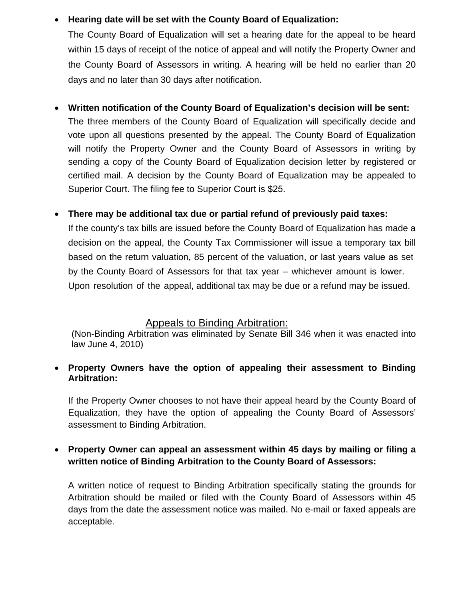## • **Hearing date will be set with the County Board of Equalization:**

The County Board of Equalization will set a hearing date for the appeal to be heard within 15 days of receipt of the notice of appeal and will notify the Property Owner and the County Board of Assessors in writing. A hearing will be held no earlier than 20 days and no later than 30 days after notification.

## • **Written notification of the County Board of Equalization's decision will be sent:**

The three members of the County Board of Equalization will specifically decide and vote upon all questions presented by the appeal. The County Board of Equalization will notify the Property Owner and the County Board of Assessors in writing by sending a copy of the County Board of Equalization decision letter by registered or certified mail. A decision by the County Board of Equalization may be appealed to Superior Court. The filing fee to Superior Court is \$25.

# • **There may be additional tax due or partial refund of previously paid taxes:**

If the county's tax bills are issued before the County Board of Equalization has made a decision on the appeal, the County Tax Commissioner will issue a temporary tax bill based on the return valuation, 85 percent of the valuation, or last years value as set by the County Board of Assessors for that tax year – whichever amount is lower. Upon resolution of the appeal, additional tax may be due or a refund may be issued.

## Appeals to Binding Arbitration:

(Non-Binding Arbitration was eliminated by Senate Bill 346 when it was enacted into law June 4, 2010)

## **Property Owners have the option of appealing their assessment to Binding Arbitration:**

If the Property Owner chooses to not have their appeal heard by the County Board of Equalization, they have the option of appealing the County Board of Assessors' assessment to Binding Arbitration.

# **Property Owner can appeal an assessment within 45 days by mailing or filing a written notice of Binding Arbitration to the County Board of Assessors:**

A written notice of request to Binding Arbitration specifically stating the grounds for Arbitration should be mailed or filed with the County Board of Assessors within 45 days from the date the assessment notice was mailed. No e-mail or faxed appeals are acceptable.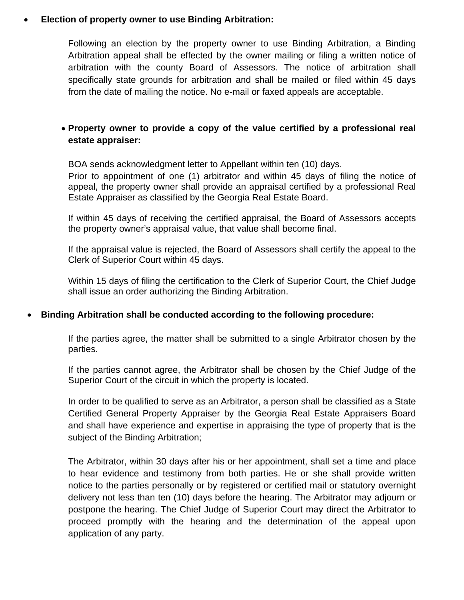#### **Election of property owner to use Binding Arbitration:**

Following an election by the property owner to use Binding Arbitration, a Binding Arbitration appeal shall be effected by the owner mailing or filing a written notice of arbitration with the county Board of Assessors. The notice of arbitration shall specifically state grounds for arbitration and shall be mailed or filed within 45 days from the date of mailing the notice. No e-mail or faxed appeals are acceptable.

### **Property owner to provide a copy of the value certified by a professional real estate appraiser:**

BOA sends acknowledgment letter to Appellant within ten (10) days.

Prior to appointment of one (1) arbitrator and within 45 days of filing the notice of appeal, the property owner shall provide an appraisal certified by a professional Real Estate Appraiser as classified by the Georgia Real Estate Board.

If within 45 days of receiving the certified appraisal, the Board of Assessors accepts the property owner's appraisal value, that value shall become final.

If the appraisal value is rejected, the Board of Assessors shall certify the appeal to the Clerk of Superior Court within 45 days.

Within 15 days of filing the certification to the Clerk of Superior Court, the Chief Judge shall issue an order authorizing the Binding Arbitration.

#### **Binding Arbitration shall be conducted according to the following procedure:**

If the parties agree, the matter shall be submitted to a single Arbitrator chosen by the parties.

If the parties cannot agree, the Arbitrator shall be chosen by the Chief Judge of the Superior Court of the circuit in which the property is located.

In order to be qualified to serve as an Arbitrator, a person shall be classified as a State Certified General Property Appraiser by the Georgia Real Estate Appraisers Board and shall have experience and expertise in appraising the type of property that is the subject of the Binding Arbitration;

The Arbitrator, within 30 days after his or her appointment, shall set a time and place to hear evidence and testimony from both parties. He or she shall provide written notice to the parties personally or by registered or certified mail or statutory overnight delivery not less than ten (10) days before the hearing. The Arbitrator may adjourn or postpone the hearing. The Chief Judge of Superior Court may direct the Arbitrator to proceed promptly with the hearing and the determination of the appeal upon application of any party.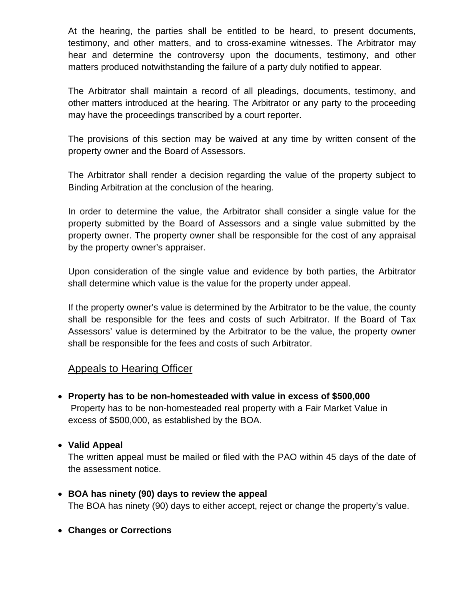At the hearing, the parties shall be entitled to be heard, to present documents, testimony, and other matters, and to cross-examine witnesses. The Arbitrator may hear and determine the controversy upon the documents, testimony, and other matters produced notwithstanding the failure of a party duly notified to appear.

The Arbitrator shall maintain a record of all pleadings, documents, testimony, and other matters introduced at the hearing. The Arbitrator or any party to the proceeding may have the proceedings transcribed by a court reporter.

The provisions of this section may be waived at any time by written consent of the property owner and the Board of Assessors.

The Arbitrator shall render a decision regarding the value of the property subject to Binding Arbitration at the conclusion of the hearing.

In order to determine the value, the Arbitrator shall consider a single value for the property submitted by the Board of Assessors and a single value submitted by the property owner. The property owner shall be responsible for the cost of any appraisal by the property owner's appraiser.

Upon consideration of the single value and evidence by both parties, the Arbitrator shall determine which value is the value for the property under appeal.

If the property owner's value is determined by the Arbitrator to be the value, the county shall be responsible for the fees and costs of such Arbitrator. If the Board of Tax Assessors' value is determined by the Arbitrator to be the value, the property owner shall be responsible for the fees and costs of such Arbitrator.

# Appeals to Hearing Officer

- **Property has to be non-homesteaded with value in excess of \$500,000** Property has to be non-homesteaded real property with a Fair Market Value in excess of \$500,000, as established by the BOA.
- **Valid Appeal**

The written appeal must be mailed or filed with the PAO within 45 days of the date of the assessment notice.

- **BOA has ninety (90) days to review the appeal** The BOA has ninety (90) days to either accept, reject or change the property's value.
- **Changes or Corrections**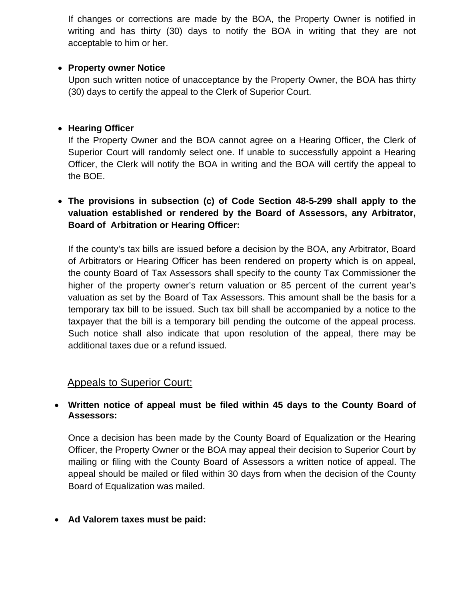If changes or corrections are made by the BOA, the Property Owner is notified in writing and has thirty (30) days to notify the BOA in writing that they are not acceptable to him or her.

#### **• Property owner Notice**

Upon such written notice of unacceptance by the Property Owner, the BOA has thirty (30) days to certify the appeal to the Clerk of Superior Court.

#### **Hearing Officer**

If the Property Owner and the BOA cannot agree on a Hearing Officer, the Clerk of Superior Court will randomly select one. If unable to successfully appoint a Hearing Officer, the Clerk will notify the BOA in writing and the BOA will certify the appeal to the BOE.

# **The provisions in subsection (c) of Code Section 48-5-299 shall apply to the valuation established or rendered by the Board of Assessors, any Arbitrator, Board of Arbitration or Hearing Officer:**

If the county's tax bills are issued before a decision by the BOA, any Arbitrator, Board of Arbitrators or Hearing Officer has been rendered on property which is on appeal, the county Board of Tax Assessors shall specify to the county Tax Commissioner the higher of the property owner's return valuation or 85 percent of the current year's valuation as set by the Board of Tax Assessors. This amount shall be the basis for a temporary tax bill to be issued. Such tax bill shall be accompanied by a notice to the taxpayer that the bill is a temporary bill pending the outcome of the appeal process. Such notice shall also indicate that upon resolution of the appeal, there may be additional taxes due or a refund issued.

## Appeals to Superior Court:

#### **Written notice of appeal must be filed within 45 days to the County Board of Assessors:**

Once a decision has been made by the County Board of Equalization or the Hearing Officer, the Property Owner or the BOA may appeal their decision to Superior Court by mailing or filing with the County Board of Assessors a written notice of appeal. The appeal should be mailed or filed within 30 days from when the decision of the County Board of Equalization was mailed.

#### **Ad Valorem taxes must be paid:**